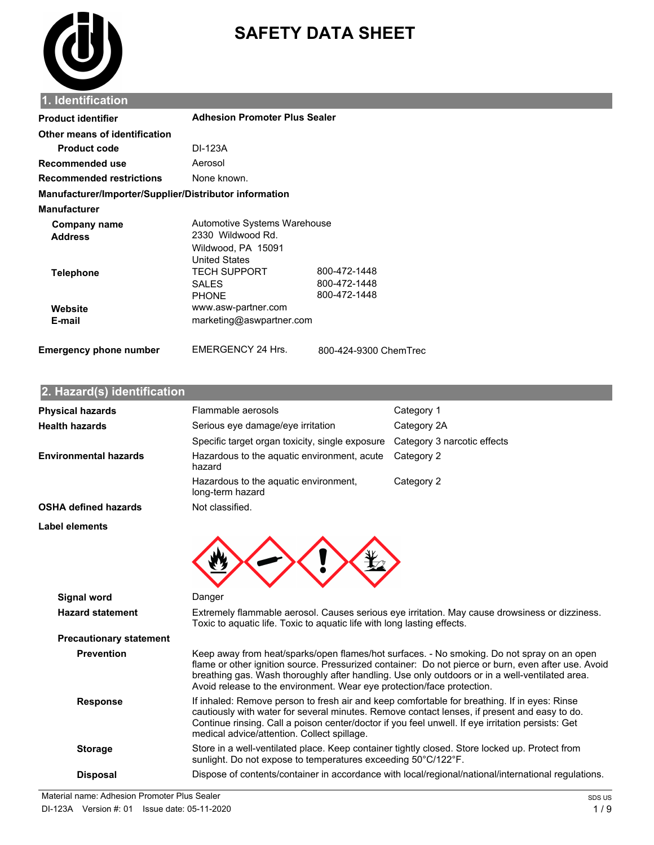

# **SAFETY DATA SHEET**

| <b>Product identifier</b>                              | <b>Adhesion Promoter Plus Sealer</b>                                                            |                                              |
|--------------------------------------------------------|-------------------------------------------------------------------------------------------------|----------------------------------------------|
| Other means of identification                          |                                                                                                 |                                              |
| <b>Product code</b>                                    | DI-123A                                                                                         |                                              |
| Recommended use                                        | Aerosol                                                                                         |                                              |
| <b>Recommended restrictions</b>                        | None known.                                                                                     |                                              |
| Manufacturer/Importer/Supplier/Distributor information |                                                                                                 |                                              |
| <b>Manufacturer</b>                                    |                                                                                                 |                                              |
| Company name<br><b>Address</b>                         | Automotive Systems Warehouse<br>2330 Wildwood Rd.<br>Wildwood, PA 15091<br><b>United States</b> |                                              |
| <b>Telephone</b>                                       | <b>TECH SUPPORT</b><br><b>SALES</b><br><b>PHONE</b>                                             | 800-472-1448<br>800-472-1448<br>800-472-1448 |
| Website<br>E-mail                                      | www.asw-partner.com<br>marketing@aswpartner.com                                                 |                                              |
| <b>Emergency phone number</b>                          | <b>EMERGENCY 24 Hrs.</b>                                                                        | 800-424-9300 ChemTrec                        |

#### **2. Eazard(s) identification**

| <b>Physical hazards</b>                       | Flammable aerosols                                                                                                                                                                                                                                                                                                                               | Category 1                                                                                                                                                                                                                                                                                          |
|-----------------------------------------------|--------------------------------------------------------------------------------------------------------------------------------------------------------------------------------------------------------------------------------------------------------------------------------------------------------------------------------------------------|-----------------------------------------------------------------------------------------------------------------------------------------------------------------------------------------------------------------------------------------------------------------------------------------------------|
| <b>Health hazards</b>                         | Serious eye damage/eye irritation                                                                                                                                                                                                                                                                                                                | Category 2A                                                                                                                                                                                                                                                                                         |
|                                               | Specific target organ toxicity, single exposure                                                                                                                                                                                                                                                                                                  | Category 3 narcotic effects                                                                                                                                                                                                                                                                         |
| <b>Environmental hazards</b>                  | Hazardous to the aquatic environment, acute<br>hazard                                                                                                                                                                                                                                                                                            | Category 2                                                                                                                                                                                                                                                                                          |
|                                               | Hazardous to the aquatic environment,<br>long-term hazard                                                                                                                                                                                                                                                                                        | Category 2                                                                                                                                                                                                                                                                                          |
| <b>OSHA defined hazards</b>                   | Not classified.                                                                                                                                                                                                                                                                                                                                  |                                                                                                                                                                                                                                                                                                     |
| Label elements                                |                                                                                                                                                                                                                                                                                                                                                  |                                                                                                                                                                                                                                                                                                     |
| <b>Signal word</b><br><b>Hazard statement</b> | Danger<br>Toxic to aquatic life. Toxic to aquatic life with long lasting effects.                                                                                                                                                                                                                                                                | Extremely flammable aerosol. Causes serious eye irritation. May cause drowsiness or dizziness.                                                                                                                                                                                                      |
| <b>Precautionary statement</b>                |                                                                                                                                                                                                                                                                                                                                                  |                                                                                                                                                                                                                                                                                                     |
| <b>Prevention</b>                             | Avoid release to the environment. Wear eye protection/face protection.                                                                                                                                                                                                                                                                           | Keep away from heat/sparks/open flames/hot surfaces. - No smoking. Do not spray on an open<br>flame or other ignition source. Pressurized container: Do not pierce or burn, even after use. Avoid<br>breathing gas. Wash thoroughly after handling. Use only outdoors or in a well-ventilated area. |
| <b>Response</b>                               | If inhaled: Remove person to fresh air and keep comfortable for breathing. If in eyes: Rinse<br>cautiously with water for several minutes. Remove contact lenses, if present and easy to do.<br>Continue rinsing. Call a poison center/doctor if you feel unwell. If eye irritation persists: Get<br>medical advice/attention. Collect spillage. |                                                                                                                                                                                                                                                                                                     |
| <b>Storage</b>                                | Store in a well-ventilated place. Keep container tightly closed. Store locked up. Protect from<br>sunlight. Do not expose to temperatures exceeding 50°C/122°F.                                                                                                                                                                                  |                                                                                                                                                                                                                                                                                                     |
| <b>Disposal</b>                               |                                                                                                                                                                                                                                                                                                                                                  | Dispose of contents/container in accordance with local/regional/national/international regulations.                                                                                                                                                                                                 |
|                                               |                                                                                                                                                                                                                                                                                                                                                  |                                                                                                                                                                                                                                                                                                     |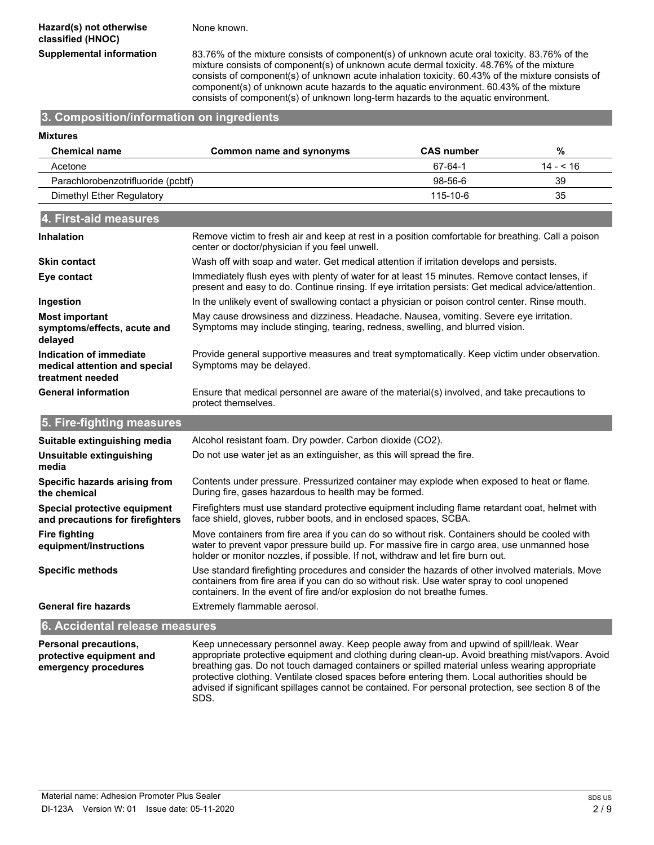None known.

**Supplemental information** 83.76% of the mixture consists of component(s) of unknown acute oral toxicity. 83.76% of the mixture consists of component(s) of unknown acute dermal toxicity. 48.76% of the mixture consists of component(s) of unknown acute inhalation toxicity. 60.43% of the mixture consists of component(s) of unknown acute hazards to the aquatic environment. 60.43% of the mixture consists of component(s) of unknown long-term hazards to the aquatic environment.

> breathing gas. Do not touch damaged containers or spilled material unless wearing appropriate protective clothing. Ventilate closed spaces before entering them. Local authorities should be advised if significant spillages cannot be contained. For personal protection, see section 8 of the

### **3. Composition/information on ingredients**

| <b>Mixtures</b>                                                              |                                                                                                                                                                                                                                                                                  |                   |            |  |
|------------------------------------------------------------------------------|----------------------------------------------------------------------------------------------------------------------------------------------------------------------------------------------------------------------------------------------------------------------------------|-------------------|------------|--|
| <b>Chemical name</b>                                                         | Common name and synonyms                                                                                                                                                                                                                                                         | <b>CAS number</b> | $\%$       |  |
| Acetone                                                                      |                                                                                                                                                                                                                                                                                  | 67-64-1           | $14 - 516$ |  |
| Parachlorobenzotrifluoride (pcbtf)                                           |                                                                                                                                                                                                                                                                                  | 98-56-6           | 39         |  |
| Dimethyl Ether Regulatory                                                    |                                                                                                                                                                                                                                                                                  | 115-10-6          | 35         |  |
| 4. First-aid measures                                                        |                                                                                                                                                                                                                                                                                  |                   |            |  |
| <b>Inhalation</b>                                                            | Remove victim to fresh air and keep at rest in a position comfortable for breathing. Call a poison<br>center or doctor/physician if you feel unwell.                                                                                                                             |                   |            |  |
| <b>Skin contact</b>                                                          | Wash off with soap and water. Get medical attention if irritation develops and persists.                                                                                                                                                                                         |                   |            |  |
| Eye contact                                                                  | Immediately flush eyes with plenty of water for at least 15 minutes. Remove contact lenses, if<br>present and easy to do. Continue rinsing. If eye irritation persists: Get medical advice/attention.                                                                            |                   |            |  |
| Ingestion                                                                    | In the unlikely event of swallowing contact a physician or poison control center. Rinse mouth.                                                                                                                                                                                   |                   |            |  |
| <b>Most important</b><br>symptoms/effects, acute and<br>delayed              | May cause drowsiness and dizziness. Headache. Nausea, vomiting. Severe eye irritation.<br>Symptoms may include stinging, tearing, redness, swelling, and blurred vision.                                                                                                         |                   |            |  |
| Indication of immediate<br>medical attention and special<br>treatment needed | Provide general supportive measures and treat symptomatically. Keep victim under observation.<br>Symptoms may be delayed.                                                                                                                                                        |                   |            |  |
| <b>General information</b>                                                   | Ensure that medical personnel are aware of the material(s) involved, and take precautions to<br>protect themselves.                                                                                                                                                              |                   |            |  |
| 5. Fire-fighting measures                                                    |                                                                                                                                                                                                                                                                                  |                   |            |  |
| Suitable extinguishing media                                                 | Alcohol resistant foam. Dry powder. Carbon dioxide (CO2).                                                                                                                                                                                                                        |                   |            |  |
| Unsuitable extinguishing<br>media                                            | Do not use water jet as an extinguisher, as this will spread the fire.                                                                                                                                                                                                           |                   |            |  |
| Specific hazards arising from<br>the chemical                                | Contents under pressure. Pressurized container may explode when exposed to heat or flame.<br>During fire, gases hazardous to health may be formed.                                                                                                                               |                   |            |  |
| Special protective equipment<br>and precautions for firefighters             | Firefighters must use standard protective equipment including flame retardant coat, helmet with<br>face shield, gloves, rubber boots, and in enclosed spaces, SCBA.                                                                                                              |                   |            |  |
| <b>Fire fighting</b><br>equipment/instructions                               | Move containers from fire area if you can do so without risk. Containers should be cooled with<br>water to prevent vapor pressure build up. For massive fire in cargo area, use unmanned hose<br>holder or monitor nozzles, if possible. If not, withdraw and let fire burn out. |                   |            |  |
| <b>Specific methods</b>                                                      | Use standard firefighting procedures and consider the hazards of other involved materials. Move<br>containers from fire area if you can do so without risk. Use water spray to cool unopened<br>containers. In the event of fire and/or explosion do not breathe fumes.          |                   |            |  |
| <b>General fire hazards</b>                                                  | Extremely flammable aerosol.                                                                                                                                                                                                                                                     |                   |            |  |
| 6. Accidental release measures                                               |                                                                                                                                                                                                                                                                                  |                   |            |  |
| Personal precautions,<br>protective equipment and                            | Keep unnecessary personnel away. Keep people away from and upwind of spill/leak. Wear<br>appropriate protective equipment and clothing during clean-up. Avoid breathing mist/vapors. Avoid                                                                                       |                   |            |  |

Material name: Adhesion Promoter Plus Sealer DI-123A Version W: 01 Issue date: 05-11-2020

**emergency procedures**

SDS.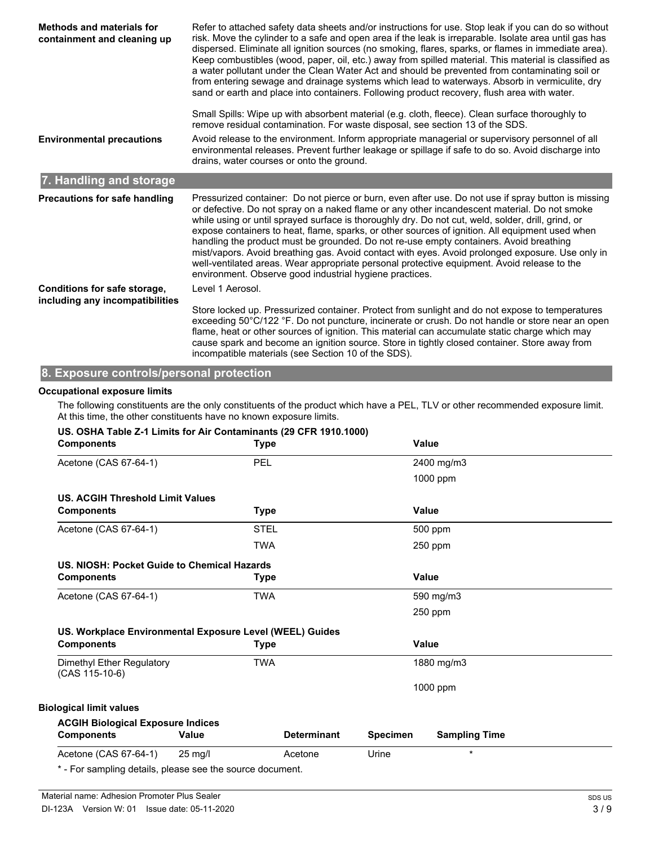| <b>Methods and materials for</b><br>containment and cleaning up | Refer to attached safety data sheets and/or instructions for use. Stop leak if you can do so without<br>risk. Move the cylinder to a safe and open area if the leak is irreparable. Isolate area until gas has<br>dispersed. Eliminate all ignition sources (no smoking, flares, sparks, or flames in immediate area).<br>Keep combustibles (wood, paper, oil, etc.) away from spilled material. This material is classified as<br>a water pollutant under the Clean Water Act and should be prevented from contaminating soil or<br>from entering sewage and drainage systems which lead to waterways. Absorb in vermiculite, dry<br>sand or earth and place into containers. Following product recovery, flush area with water.<br>Small Spills: Wipe up with absorbent material (e.g. cloth, fleece). Clean surface thoroughly to<br>remove residual contamination. For waste disposal, see section 13 of the SDS. |
|-----------------------------------------------------------------|-----------------------------------------------------------------------------------------------------------------------------------------------------------------------------------------------------------------------------------------------------------------------------------------------------------------------------------------------------------------------------------------------------------------------------------------------------------------------------------------------------------------------------------------------------------------------------------------------------------------------------------------------------------------------------------------------------------------------------------------------------------------------------------------------------------------------------------------------------------------------------------------------------------------------|
| <b>Environmental precautions</b>                                | Avoid release to the environment. Inform appropriate managerial or supervisory personnel of all<br>environmental releases. Prevent further leakage or spillage if safe to do so. Avoid discharge into<br>drains, water courses or onto the ground.                                                                                                                                                                                                                                                                                                                                                                                                                                                                                                                                                                                                                                                                    |
| 7. Handling and storage                                         |                                                                                                                                                                                                                                                                                                                                                                                                                                                                                                                                                                                                                                                                                                                                                                                                                                                                                                                       |
| Precautions for safe handling                                   | Pressurized container: Do not pierce or burn, even after use. Do not use if spray button is missing<br>or defective. Do not spray on a naked flame or any other incandescent material. Do not smoke<br>while using or until sprayed surface is thoroughly dry. Do not cut, weld, solder, drill, grind, or<br>expose containers to heat, flame, sparks, or other sources of ignition. All equipment used when<br>handling the product must be grounded. Do not re-use empty containers. Avoid breathing<br>mist/vapors. Avoid breathing gas. Avoid contact with eyes. Avoid prolonged exposure. Use only in<br>well-ventilated areas. Wear appropriate personal protective equipment. Avoid release to the<br>environment. Observe good industrial hygiene practices.                                                                                                                                                  |
| Conditions for safe storage,<br>including any incompatibilities | Level 1 Aerosol.                                                                                                                                                                                                                                                                                                                                                                                                                                                                                                                                                                                                                                                                                                                                                                                                                                                                                                      |
|                                                                 | Store locked up. Pressurized container. Protect from sunlight and do not expose to temperatures<br>exceeding 50°C/122 °F. Do not puncture, incinerate or crush. Do not handle or store near an open<br>flame, heat or other sources of ignition. This material can accumulate static charge which may<br>cause spark and become an ignition source. Store in tightly closed container. Store away from<br>incompatible materials (see Section 10 of the SDS).                                                                                                                                                                                                                                                                                                                                                                                                                                                         |

# **8. Exposure controls/personal protection**

#### **Occupational exposure limits**

The following constituents are the only constituents of the product which have a PEL, TLV or other recommended exposure limit. At this time, the other constituents have no known exposure limits.

|  |  |  |  |  | US. OSHA Table Z-1 Limits for Air Contaminants (29 CFR 1910.1000) |  |  |
|--|--|--|--|--|-------------------------------------------------------------------|--|--|
|--|--|--|--|--|-------------------------------------------------------------------|--|--|

| <b>Components</b>                                         |                   | <b>Type</b> |                    |                 | Value                |
|-----------------------------------------------------------|-------------------|-------------|--------------------|-----------------|----------------------|
| Acetone (CAS 67-64-1)                                     |                   | PEL         |                    |                 | 2400 mg/m3           |
|                                                           |                   |             |                    |                 | 1000 ppm             |
| <b>US. ACGIH Threshold Limit Values</b>                   |                   |             |                    |                 |                      |
| <b>Components</b>                                         |                   | <b>Type</b> |                    |                 | Value                |
| Acetone (CAS 67-64-1)                                     |                   | <b>STEL</b> |                    |                 | 500 ppm              |
|                                                           |                   | <b>TWA</b>  |                    |                 | 250 ppm              |
| US. NIOSH: Pocket Guide to Chemical Hazards               |                   |             |                    |                 |                      |
| <b>Components</b>                                         |                   | <b>Type</b> |                    |                 | Value                |
| Acetone (CAS 67-64-1)                                     |                   | <b>TWA</b>  |                    |                 | 590 mg/m3            |
|                                                           |                   |             |                    |                 | 250 ppm              |
| US. Workplace Environmental Exposure Level (WEEL) Guides  |                   |             |                    |                 |                      |
| <b>Components</b>                                         |                   | Type        |                    |                 | Value                |
| Dimethyl Ether Regulatory<br>(CAS 115-10-6)               |                   | <b>TWA</b>  |                    |                 | 1880 mg/m3           |
|                                                           |                   |             |                    |                 | 1000 ppm             |
| <b>Biological limit values</b>                            |                   |             |                    |                 |                      |
| <b>ACGIH Biological Exposure Indices</b>                  |                   |             |                    |                 |                      |
| <b>Components</b>                                         | Value             |             | <b>Determinant</b> | <b>Specimen</b> | <b>Sampling Time</b> |
| Acetone (CAS 67-64-1)                                     | $25 \text{ mg/l}$ |             | Acetone            | Urine           | $\star$              |
| * - For sampling details, please see the source document. |                   |             |                    |                 |                      |

Material name: Adhesion Promoter Plus Sealer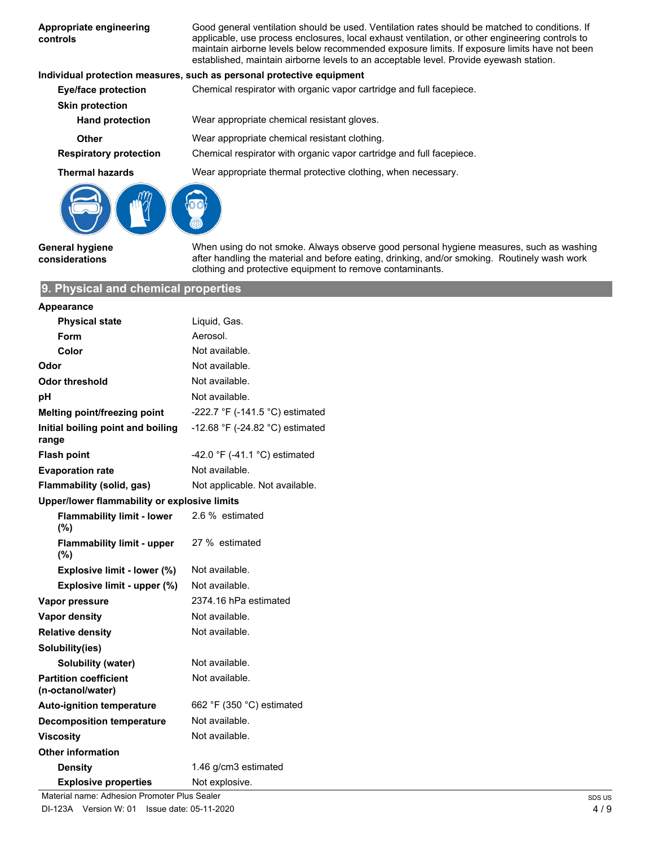| Appropriate engineering<br>controls              | Good general ventilation should be used. Ventilation rates should be matched to conditions. If<br>applicable, use process enclosures, local exhaust ventilation, or other engineering controls to<br>maintain airborne levels below recommended exposure limits. If exposure limits have not been<br>established, maintain airborne levels to an acceptable level. Provide eyewash station. |
|--------------------------------------------------|---------------------------------------------------------------------------------------------------------------------------------------------------------------------------------------------------------------------------------------------------------------------------------------------------------------------------------------------------------------------------------------------|
|                                                  | Individual protection measures, such as personal protective equipment                                                                                                                                                                                                                                                                                                                       |
| <b>Eye/face protection</b>                       | Chemical respirator with organic vapor cartridge and full facepiece.                                                                                                                                                                                                                                                                                                                        |
| <b>Skin protection</b><br><b>Hand protection</b> | Wear appropriate chemical resistant gloves.                                                                                                                                                                                                                                                                                                                                                 |
| <b>Other</b>                                     | Wear appropriate chemical resistant clothing.                                                                                                                                                                                                                                                                                                                                               |
| <b>Respiratory protection</b>                    | Chemical respirator with organic vapor cartridge and full facepiece.                                                                                                                                                                                                                                                                                                                        |
| <b>Thermal hazards</b>                           | Wear appropriate thermal protective clothing, when necessary.                                                                                                                                                                                                                                                                                                                               |
|                                                  |                                                                                                                                                                                                                                                                                                                                                                                             |

**General hygiene considerations**

When using do not smoke. Always observe good personal hygiene measures, such as washing after handling the material and before eating, drinking, and/or smoking. Routinely wash work clothing and protective equipment to remove contaminants.

# **9. Physical and chemical properties**

| <b>Appearance</b>                                 |                                 |
|---------------------------------------------------|---------------------------------|
| <b>Physical state</b>                             | Liquid, Gas.                    |
| Form                                              | Aerosol.                        |
| Color                                             | Not available.                  |
| Odor                                              | Not available.                  |
| Odor threshold                                    | Not available.                  |
| рH                                                | Not available.                  |
| Melting point/freezing point                      | -222.7 °F (-141.5 °C) estimated |
| Initial boiling point and boiling<br>range        | -12.68 °F (-24.82 °C) estimated |
| <b>Flash point</b>                                | -42.0 °F (-41.1 °C) estimated   |
| <b>Evaporation rate</b>                           | Not available.                  |
| Flammability (solid, gas)                         | Not applicable. Not available.  |
| Upper/lower flammability or explosive limits      |                                 |
| <b>Flammability limit - lower</b><br>(%)          | 2.6 % estimated                 |
| <b>Flammability limit - upper</b><br>(%)          | 27 % estimated                  |
| Explosive limit - lower (%)                       | Not available.                  |
| Explosive limit - upper (%)                       | Not available.                  |
| Vapor pressure                                    | 2374.16 hPa estimated           |
| <b>Vapor density</b>                              | Not available.                  |
| <b>Relative density</b>                           | Not available.                  |
| Solubility(ies)                                   |                                 |
| <b>Solubility (water)</b>                         | Not available.                  |
| <b>Partition coefficient</b><br>(n-octanol/water) | Not available.                  |
| <b>Auto-ignition temperature</b>                  | 662 °F (350 °C) estimated       |
| <b>Decomposition temperature</b>                  | Not available.                  |
| <b>Viscosity</b>                                  | Not available.                  |
| <b>Other information</b>                          |                                 |
| <b>Density</b>                                    | 1.46 g/cm3 estimated            |
| <b>Explosive properties</b>                       | Not explosive.                  |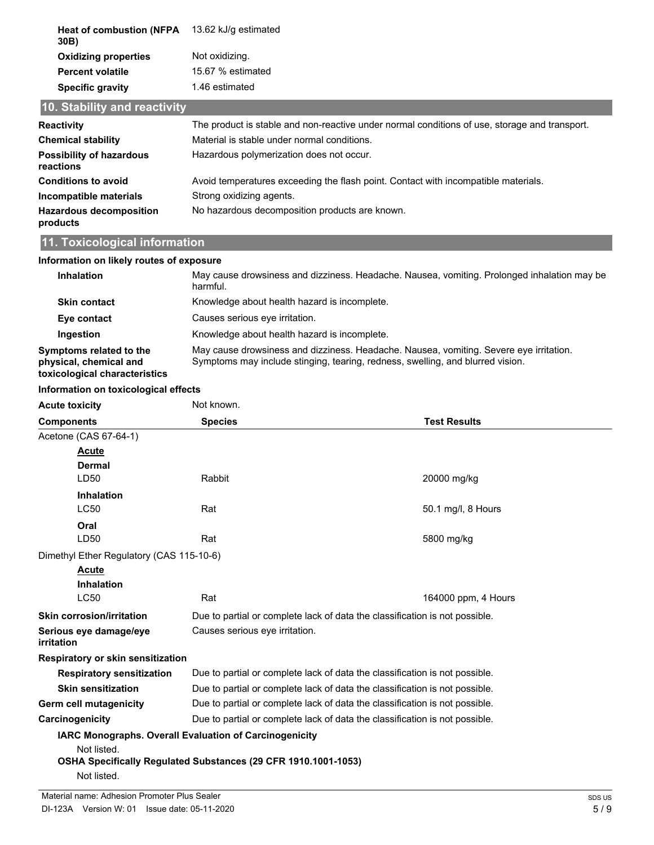| <b>Heat of combustion (NFPA</b><br>30B)      | 13.62 kJ/g estimated                                                                          |
|----------------------------------------------|-----------------------------------------------------------------------------------------------|
| <b>Oxidizing properties</b>                  | Not oxidizing.                                                                                |
| <b>Percent volatile</b>                      | 15.67 % estimated                                                                             |
| <b>Specific gravity</b>                      | 1.46 estimated                                                                                |
| 10. Stability and reactivity                 |                                                                                               |
| <b>Reactivity</b>                            | The product is stable and non-reactive under normal conditions of use, storage and transport. |
| <b>Chemical stability</b>                    | Material is stable under normal conditions.                                                   |
| <b>Possibility of hazardous</b><br>reactions | Hazardous polymerization does not occur.                                                      |
| <b>Conditions to avoid</b>                   | Avoid temperatures exceeding the flash point. Contact with incompatible materials.            |
| Incompatible materials                       | Strong oxidizing agents.                                                                      |
| <b>Hazardous decomposition</b><br>products   | No hazardous decomposition products are known.                                                |

# **11. Toxicological information**

| Information on likely routes of exposure                                           |                                                                                                                                                                          |
|------------------------------------------------------------------------------------|--------------------------------------------------------------------------------------------------------------------------------------------------------------------------|
| <b>Inhalation</b>                                                                  | May cause drowsiness and dizziness. Headache. Nausea, vomiting. Prolonged inhalation may be<br>harmful.                                                                  |
| <b>Skin contact</b>                                                                | Knowledge about health hazard is incomplete.                                                                                                                             |
| Eye contact                                                                        | Causes serious eve irritation.                                                                                                                                           |
| Ingestion                                                                          | Knowledge about health hazard is incomplete.                                                                                                                             |
| Symptoms related to the<br>physical, chemical and<br>toxicological characteristics | May cause drowsiness and dizziness. Headache. Nausea, vomiting. Severe eye irritation.<br>Symptoms may include stinging, tearing, redness, swelling, and blurred vision. |

#### **Information on toxicological effects**

| <b>Acute toxicity</b>                    | Not known.                                                                  |                     |  |  |
|------------------------------------------|-----------------------------------------------------------------------------|---------------------|--|--|
| <b>Components</b>                        | <b>Species</b>                                                              | <b>Test Results</b> |  |  |
| Acetone (CAS 67-64-1)                    |                                                                             |                     |  |  |
| Acute                                    |                                                                             |                     |  |  |
| <b>Dermal</b>                            |                                                                             |                     |  |  |
| LD <sub>50</sub>                         | Rabbit                                                                      | 20000 mg/kg         |  |  |
| <b>Inhalation</b>                        |                                                                             |                     |  |  |
| <b>LC50</b>                              | Rat                                                                         | 50.1 mg/l, 8 Hours  |  |  |
| Oral                                     |                                                                             |                     |  |  |
| LD50                                     | Rat                                                                         | 5800 mg/kg          |  |  |
| Dimethyl Ether Regulatory (CAS 115-10-6) |                                                                             |                     |  |  |
| Acute                                    |                                                                             |                     |  |  |
| <b>Inhalation</b>                        |                                                                             |                     |  |  |
| <b>LC50</b>                              | Rat                                                                         | 164000 ppm, 4 Hours |  |  |
| <b>Skin corrosion/irritation</b>         | Due to partial or complete lack of data the classification is not possible. |                     |  |  |
| Serious eye damage/eye<br>irritation     | Causes serious eye irritation.                                              |                     |  |  |
| Respiratory or skin sensitization        |                                                                             |                     |  |  |
| <b>Respiratory sensitization</b>         | Due to partial or complete lack of data the classification is not possible. |                     |  |  |
| <b>Skin sensitization</b>                | Due to partial or complete lack of data the classification is not possible. |                     |  |  |
| Germ cell mutagenicity                   | Due to partial or complete lack of data the classification is not possible. |                     |  |  |
| Carcinogenicity                          | Due to partial or complete lack of data the classification is not possible. |                     |  |  |
|                                          | IARC Monographs. Overall Evaluation of Carcinogenicity                      |                     |  |  |
| Not listed.                              |                                                                             |                     |  |  |
|                                          | OSHA Specifically Regulated Substances (29 CFR 1910.1001-1053)              |                     |  |  |
| Not listed.                              |                                                                             |                     |  |  |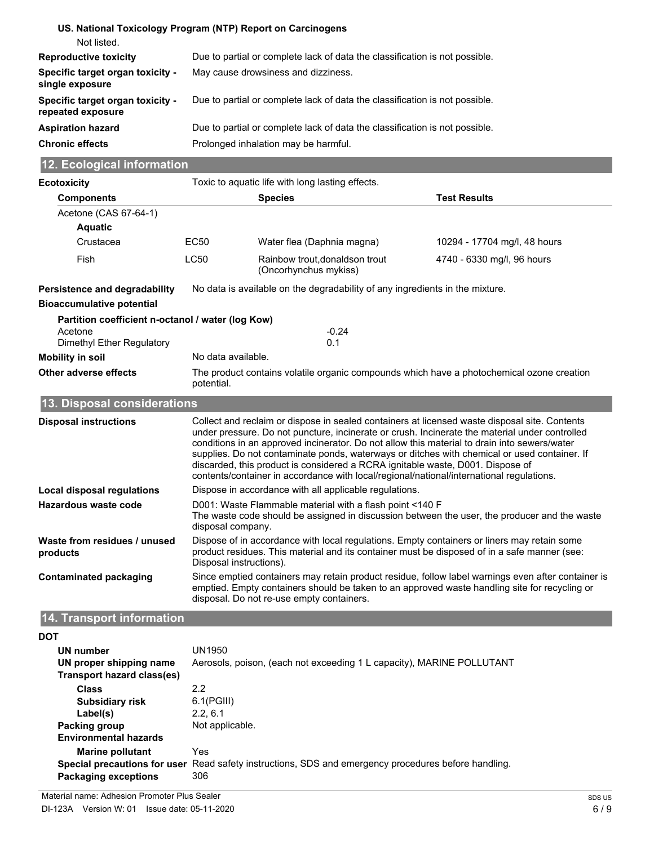| US. National Toxicology Program (NTP) Report on Carcinogens                               |                                                                                                                                                                                                                                                  |                                                                                                                                                                                                                                                                                                                                                                                                                                                                                                                                                                               |                            |                              |  |  |
|-------------------------------------------------------------------------------------------|--------------------------------------------------------------------------------------------------------------------------------------------------------------------------------------------------------------------------------------------------|-------------------------------------------------------------------------------------------------------------------------------------------------------------------------------------------------------------------------------------------------------------------------------------------------------------------------------------------------------------------------------------------------------------------------------------------------------------------------------------------------------------------------------------------------------------------------------|----------------------------|------------------------------|--|--|
| Not listed.                                                                               |                                                                                                                                                                                                                                                  |                                                                                                                                                                                                                                                                                                                                                                                                                                                                                                                                                                               |                            |                              |  |  |
| <b>Reproductive toxicity</b>                                                              |                                                                                                                                                                                                                                                  | Due to partial or complete lack of data the classification is not possible.                                                                                                                                                                                                                                                                                                                                                                                                                                                                                                   |                            |                              |  |  |
| Specific target organ toxicity -<br>single exposure                                       |                                                                                                                                                                                                                                                  | May cause drowsiness and dizziness.                                                                                                                                                                                                                                                                                                                                                                                                                                                                                                                                           |                            |                              |  |  |
| Specific target organ toxicity -<br>repeated exposure                                     |                                                                                                                                                                                                                                                  | Due to partial or complete lack of data the classification is not possible.                                                                                                                                                                                                                                                                                                                                                                                                                                                                                                   |                            |                              |  |  |
| <b>Aspiration hazard</b>                                                                  |                                                                                                                                                                                                                                                  | Due to partial or complete lack of data the classification is not possible.                                                                                                                                                                                                                                                                                                                                                                                                                                                                                                   |                            |                              |  |  |
| <b>Chronic effects</b>                                                                    |                                                                                                                                                                                                                                                  | Prolonged inhalation may be harmful.                                                                                                                                                                                                                                                                                                                                                                                                                                                                                                                                          |                            |                              |  |  |
| 12. Ecological information                                                                |                                                                                                                                                                                                                                                  |                                                                                                                                                                                                                                                                                                                                                                                                                                                                                                                                                                               |                            |                              |  |  |
| <b>Ecotoxicity</b>                                                                        |                                                                                                                                                                                                                                                  | Toxic to aquatic life with long lasting effects.                                                                                                                                                                                                                                                                                                                                                                                                                                                                                                                              |                            |                              |  |  |
| <b>Components</b>                                                                         |                                                                                                                                                                                                                                                  | <b>Species</b>                                                                                                                                                                                                                                                                                                                                                                                                                                                                                                                                                                | <b>Test Results</b>        |                              |  |  |
| Acetone (CAS 67-64-1)                                                                     |                                                                                                                                                                                                                                                  |                                                                                                                                                                                                                                                                                                                                                                                                                                                                                                                                                                               |                            |                              |  |  |
| <b>Aquatic</b>                                                                            |                                                                                                                                                                                                                                                  |                                                                                                                                                                                                                                                                                                                                                                                                                                                                                                                                                                               |                            |                              |  |  |
| Crustacea                                                                                 | EC50                                                                                                                                                                                                                                             | Water flea (Daphnia magna)                                                                                                                                                                                                                                                                                                                                                                                                                                                                                                                                                    |                            | 10294 - 17704 mg/l, 48 hours |  |  |
| Fish                                                                                      | <b>LC50</b>                                                                                                                                                                                                                                      | Rainbow trout, donaldson trout<br>(Oncorhynchus mykiss)                                                                                                                                                                                                                                                                                                                                                                                                                                                                                                                       | 4740 - 6330 mg/l, 96 hours |                              |  |  |
| Persistence and degradability                                                             |                                                                                                                                                                                                                                                  | No data is available on the degradability of any ingredients in the mixture.                                                                                                                                                                                                                                                                                                                                                                                                                                                                                                  |                            |                              |  |  |
| <b>Bioaccumulative potential</b>                                                          |                                                                                                                                                                                                                                                  |                                                                                                                                                                                                                                                                                                                                                                                                                                                                                                                                                                               |                            |                              |  |  |
| Partition coefficient n-octanol / water (log Kow)<br>Acetone<br>Dimethyl Ether Regulatory |                                                                                                                                                                                                                                                  | $-0.24$<br>0.1                                                                                                                                                                                                                                                                                                                                                                                                                                                                                                                                                                |                            |                              |  |  |
| <b>Mobility in soil</b>                                                                   |                                                                                                                                                                                                                                                  | No data available.                                                                                                                                                                                                                                                                                                                                                                                                                                                                                                                                                            |                            |                              |  |  |
| Other adverse effects                                                                     | The product contains volatile organic compounds which have a photochemical ozone creation<br>potential.                                                                                                                                          |                                                                                                                                                                                                                                                                                                                                                                                                                                                                                                                                                                               |                            |                              |  |  |
| 13. Disposal considerations                                                               |                                                                                                                                                                                                                                                  |                                                                                                                                                                                                                                                                                                                                                                                                                                                                                                                                                                               |                            |                              |  |  |
| <b>Disposal instructions</b>                                                              |                                                                                                                                                                                                                                                  | Collect and reclaim or dispose in sealed containers at licensed waste disposal site. Contents<br>under pressure. Do not puncture, incinerate or crush. Incinerate the material under controlled<br>conditions in an approved incinerator. Do not allow this material to drain into sewers/water<br>supplies. Do not contaminate ponds, waterways or ditches with chemical or used container. If<br>discarded, this product is considered a RCRA ignitable waste, D001. Dispose of<br>contents/container in accordance with local/regional/national/international regulations. |                            |                              |  |  |
| Local disposal regulations                                                                |                                                                                                                                                                                                                                                  | Dispose in accordance with all applicable regulations.                                                                                                                                                                                                                                                                                                                                                                                                                                                                                                                        |                            |                              |  |  |
| <b>Hazardous waste code</b>                                                               | D001: Waste Flammable material with a flash point <140 F<br>The waste code should be assigned in discussion between the user, the producer and the waste<br>disposal company.                                                                    |                                                                                                                                                                                                                                                                                                                                                                                                                                                                                                                                                                               |                            |                              |  |  |
| Waste from residues / unused<br>products                                                  | Dispose of in accordance with local regulations. Empty containers or liners may retain some<br>product residues. This material and its container must be disposed of in a safe manner (see:<br>Disposal instructions).                           |                                                                                                                                                                                                                                                                                                                                                                                                                                                                                                                                                                               |                            |                              |  |  |
| <b>Contaminated packaging</b>                                                             | Since emptied containers may retain product residue, follow label warnings even after container is<br>emptied. Empty containers should be taken to an approved waste handling site for recycling or<br>disposal. Do not re-use empty containers. |                                                                                                                                                                                                                                                                                                                                                                                                                                                                                                                                                                               |                            |                              |  |  |
| 14. Transport information                                                                 |                                                                                                                                                                                                                                                  |                                                                                                                                                                                                                                                                                                                                                                                                                                                                                                                                                                               |                            |                              |  |  |
| <b>DOT</b>                                                                                |                                                                                                                                                                                                                                                  |                                                                                                                                                                                                                                                                                                                                                                                                                                                                                                                                                                               |                            |                              |  |  |
| <b>UN number</b><br>UN proper shipping name<br><b>Transport hazard class(es)</b>          | <b>UN1950</b>                                                                                                                                                                                                                                    | Aerosols, poison, (each not exceeding 1 L capacity), MARINE POLLUTANT                                                                                                                                                                                                                                                                                                                                                                                                                                                                                                         |                            |                              |  |  |

| Transport hazard class(es)   |                                                                                                      |
|------------------------------|------------------------------------------------------------------------------------------------------|
| <b>Class</b>                 | 2.2                                                                                                  |
| <b>Subsidiary risk</b>       | $6.1$ (PGIII)                                                                                        |
| Label(s)                     | 2.2.6.1                                                                                              |
| Packing group                | Not applicable.                                                                                      |
| <b>Environmental hazards</b> |                                                                                                      |
| <b>Marine pollutant</b>      | Yes                                                                                                  |
|                              | Special precautions for user Read safety instructions, SDS and emergency procedures before handling. |
| <b>Packaging exceptions</b>  | 306                                                                                                  |
|                              |                                                                                                      |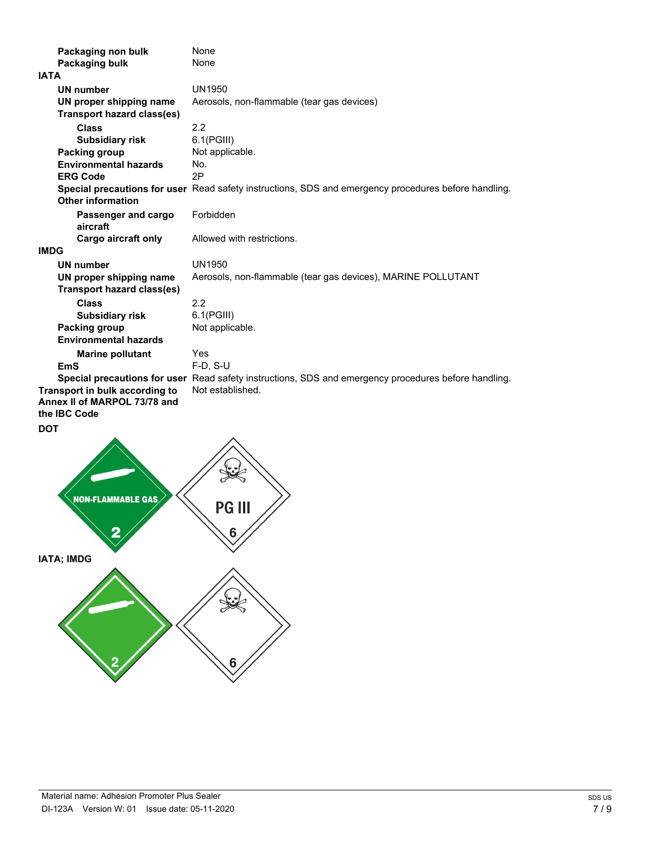| Packaging non bulk                                                             | None                                                                                                 |
|--------------------------------------------------------------------------------|------------------------------------------------------------------------------------------------------|
| Packaging bulk<br><b>IATA</b>                                                  | None                                                                                                 |
|                                                                                |                                                                                                      |
| <b>UN number</b>                                                               | <b>UN1950</b>                                                                                        |
| UN proper shipping name<br><b>Transport hazard class(es)</b>                   | Aerosols, non-flammable (tear gas devices)                                                           |
| <b>Class</b>                                                                   | 2.2                                                                                                  |
| <b>Subsidiary risk</b>                                                         | $6.1$ (PGIII)                                                                                        |
| <b>Packing group</b>                                                           | Not applicable.                                                                                      |
| <b>Environmental hazards</b><br><b>ERG Code</b>                                | No.<br>2P                                                                                            |
| <b>Other information</b>                                                       | Special precautions for user Read safety instructions, SDS and emergency procedures before handling. |
| Passenger and cargo<br>aircraft                                                | Forbidden                                                                                            |
| Cargo aircraft only                                                            | Allowed with restrictions.                                                                           |
| <b>IMDG</b>                                                                    |                                                                                                      |
| <b>UN number</b>                                                               | <b>UN1950</b>                                                                                        |
| UN proper shipping name<br><b>Transport hazard class(es)</b>                   | Aerosols, non-flammable (tear gas devices), MARINE POLLUTANT                                         |
| <b>Class</b>                                                                   | 2.2                                                                                                  |
| <b>Subsidiary risk</b>                                                         | $6.1$ (PGIII)                                                                                        |
| <b>Packing group</b>                                                           | Not applicable.                                                                                      |
| <b>Environmental hazards</b>                                                   |                                                                                                      |
| <b>Marine pollutant</b>                                                        | Yes                                                                                                  |
| <b>EmS</b>                                                                     | F-D, S-U                                                                                             |
|                                                                                | Special precautions for user Read safety instructions, SDS and emergency procedures before handling. |
| Transport in bulk according to<br>Annex II of MARPOL 73/78 and<br>the IBC Code | Not established.                                                                                     |
| <b>DOT</b>                                                                     |                                                                                                      |
| <b>NON-FLAMMABLE GAS</b><br>2                                                  | <b>PG III</b><br>6                                                                                   |
| <b>IATA; IMDG</b>                                                              |                                                                                                      |
|                                                                                | 6                                                                                                    |
|                                                                                |                                                                                                      |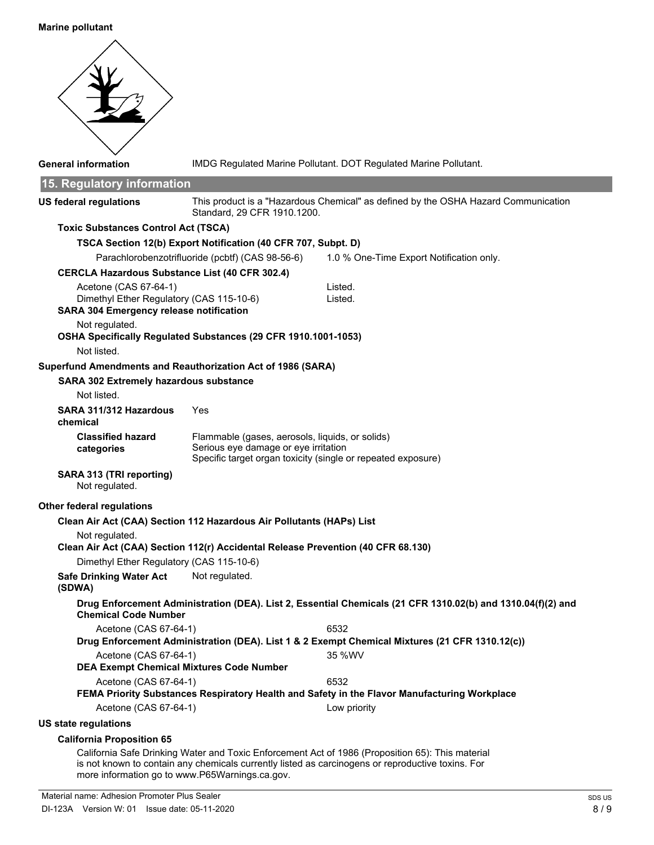#### **Marine pollutant**



California Safe Drinking Water and Toxic Enforcement Act of 1986 (Proposition 65): This material is not known to contain any chemicals currently listed as carcinogens or reproductive toxins. For more information go to www.P65Warnings.ca.gov.